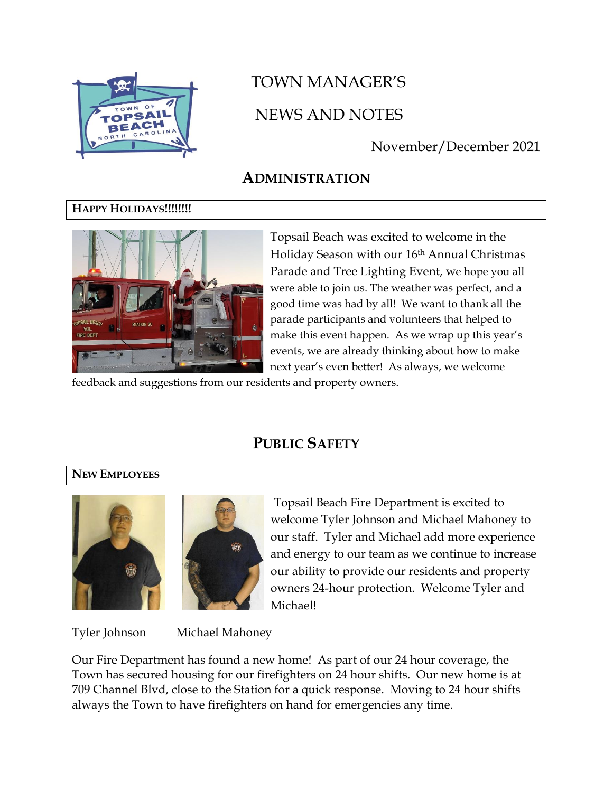

# TOWN MANAGER'S NEWS AND NOTES

# November/December 2021

# **ADMINISTRATION**

## **HAPPY HOLIDAYS!!!!!!!!**



Topsail Beach was excited to welcome in the Holiday Season with our 16th Annual Christmas Parade and Tree Lighting Event, we hope you all were able to join us. The weather was perfect, and a good time was had by all! We want to thank all the parade participants and volunteers that helped to make this event happen. As we wrap up this year's events, we are already thinking about how to make next year's even better! As always, we welcome

feedback and suggestions from our residents and property owners.

# **PUBLIC SAFETY**

#### **NEW EMPLOYEES**





Topsail Beach Fire Department is excited to welcome Tyler Johnson and Michael Mahoney to our staff. Tyler and Michael add more experience and energy to our team as we continue to increase our ability to provide our residents and property owners 24-hour protection. Welcome Tyler and Michael!

Tyler Johnson Michael Mahoney

Our Fire Department has found a new home! As part of our 24 hour coverage, the Town has secured housing for our firefighters on 24 hour shifts. Our new home is at 709 Channel Blvd, close to the Station for a quick response. Moving to 24 hour shifts always the Town to have firefighters on hand for emergencies any time.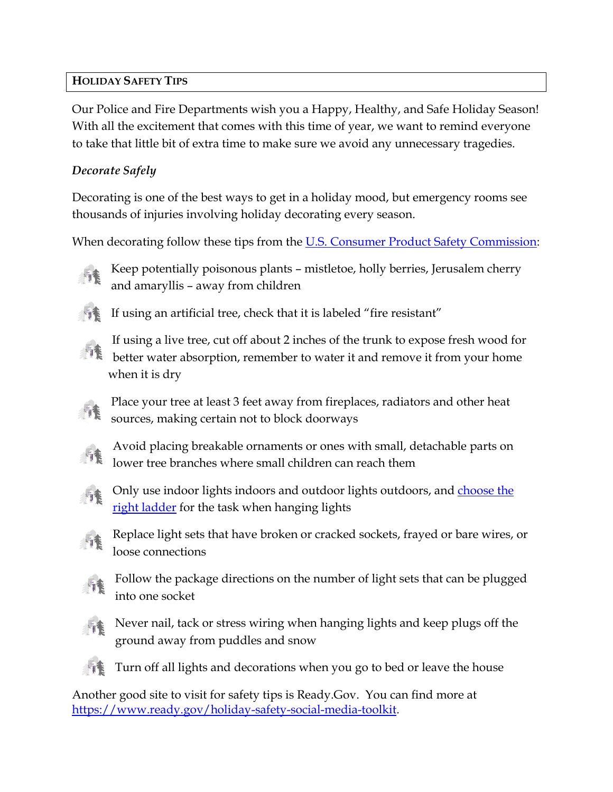## **HOLIDAY SAFETY TIPS**

Our Police and Fire Departments wish you a Happy, Healthy, and Safe Holiday Season! With all the excitement that comes with this time of year, we want to remind everyone to take that little bit of extra time to make sure we avoid any unnecessary tragedies.

## *Decorate Safely*

Decorating is one of the best ways to get in a holiday mood, but emergency rooms see thousands of injuries involving holiday decorating every season.

When decorating follow these tips from the [U.S. Consumer Product Safety Commission:](https://www.cpsc.gov/s3fs-public/611.pdf)

Keep potentially poisonous plants – mistletoe, holly berries, Jerusalem cherry and amaryllis – away from children



If using an artificial tree, check that it is labeled "fire resistant"



If using a live tree, cut off about 2 inches of the trunk to expose fresh wood for  $\mathbb{R}$  better water absorption, remember to water it and remove it from your home when it is dry

Place your tree at least 3 feet away from fireplaces, radiators and other heat sources, making certain not to block doorways



Avoid placing breakable ornaments or ones with small, detachable parts on lower tree branches where small children can reach them



Only use indoor lights indoors and outdoor lights outdoors, and [choose the](https://www.nsc.org/workplace/safety-topics/slips-trips-and-falls/slips-trips-and-falls-home)  [right ladder](https://www.nsc.org/workplace/safety-topics/slips-trips-and-falls/slips-trips-and-falls-home) for the task when hanging lights



Replace light sets that have broken or cracked sockets, frayed or bare wires, or loose connections



Follow the package directions on the number of light sets that can be plugged into one socket



Never nail, tack or stress wiring when hanging lights and keep plugs off the ground away from puddles and snow



Turn off all lights and decorations when you go to bed or leave the house

Another good site to visit for safety tips is Ready.Gov. You can find more at [https://www.ready.gov/holiday-safety-social-media-toolkit.](https://www.ready.gov/holiday-safety-social-media-toolkit)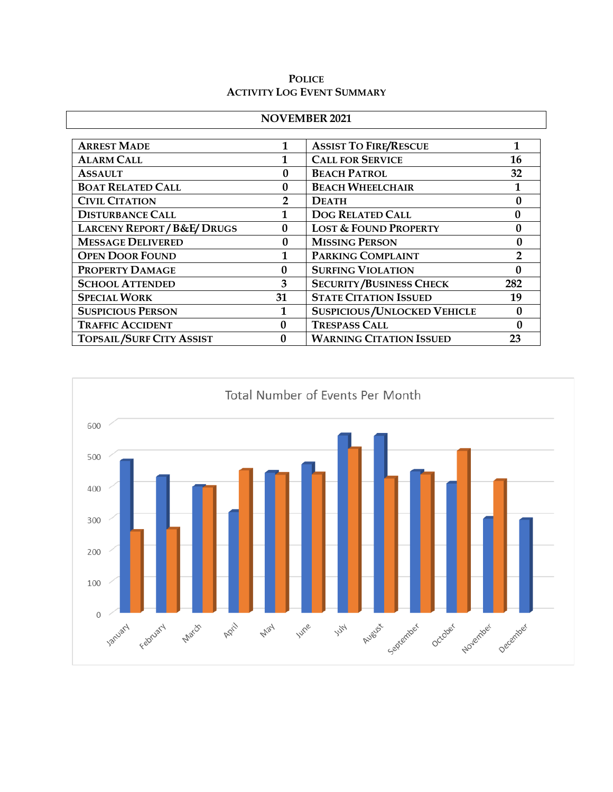#### **POLICE ACTIVITY LOG EVENT SUMMARY**

| <b>NOVEMBER 2021</b>                |                  |                                     |                  |  |  |
|-------------------------------------|------------------|-------------------------------------|------------------|--|--|
| <b>ARREST MADE</b>                  | 1                | <b>ASSIST TO FIRE/RESCUE</b>        |                  |  |  |
| <b>ALARM CALL</b>                   |                  | <b>CALL FOR SERVICE</b>             | 16               |  |  |
| <b>ASSAULT</b>                      | $\mathbf{0}$     | <b>BEACH PATROL</b>                 | 32               |  |  |
| <b>BOAT RELATED CALL</b>            | $\mathbf{0}$     | <b>BEACH WHEELCHAIR</b>             |                  |  |  |
| <b>CIVIL CITATION</b>               | $\overline{2}$   | <b>DEATH</b>                        | 0                |  |  |
| <b>DISTURBANCE CALL</b>             | 1                | <b>DOG RELATED CALL</b>             | $\boldsymbol{0}$ |  |  |
| <b>LARCENY REPORT/B&amp;E/DRUGS</b> | $\boldsymbol{0}$ | <b>LOST &amp; FOUND PROPERTY</b>    | $\boldsymbol{0}$ |  |  |
| <b>MESSAGE DELIVERED</b>            | $\bf{0}$         | <b>MISSING PERSON</b>               | $\mathbf{0}$     |  |  |
| <b>OPEN DOOR FOUND</b>              | 1                | PARKING COMPLAINT<br>$\overline{2}$ |                  |  |  |
| PROPERTY DAMAGE                     | $\Omega$         | <b>SURFING VIOLATION</b>            | $\mathbf{0}$     |  |  |
| <b>SCHOOL ATTENDED</b>              | 3                | <b>SECURITY/BUSINESS CHECK</b>      | 282              |  |  |
| <b>SPECIAL WORK</b>                 | 31               | <b>STATE CITATION ISSUED</b>        | 19               |  |  |
| <b>SUSPICIOUS PERSON</b>            |                  | <b>SUSPICIOUS/UNLOCKED VEHICLE</b>  | $\mathbf{0}$     |  |  |
| <b>TRAFFIC ACCIDENT</b>             | 0                | <b>TRESPASS CALL</b>                |                  |  |  |
| <b>TOPSAIL/SURF CITY ASSIST</b>     | $\mathbf{0}$     | <b>WARNING CITATION ISSUED</b>      | 23               |  |  |

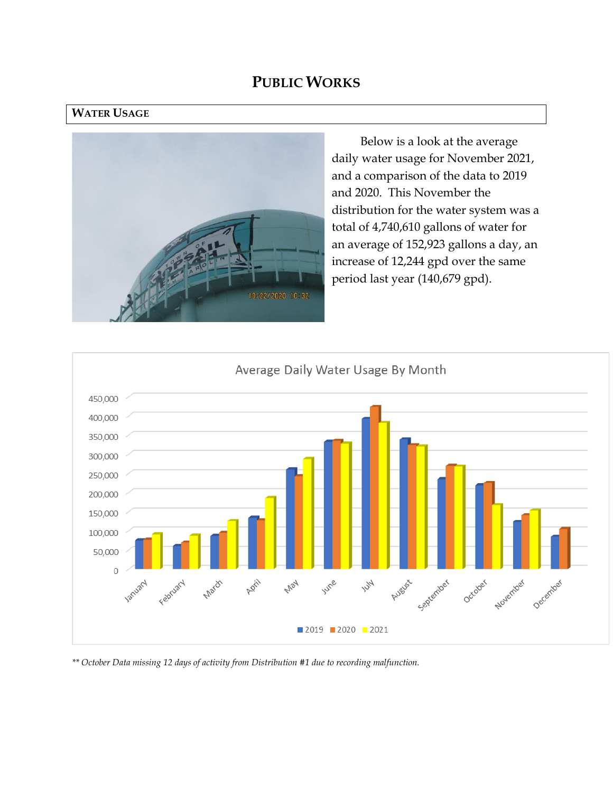## **PUBLIC WORKS**

#### **WATER USAGE**



Below is a look at the average daily water usage for November 2021, and a comparison of the data to 2019 and 2020. This November the distribution for the water system was a total of 4,740,610 gallons of water for an average of 152,923 gallons a day, an increase of 12,244 gpd over the same period last year (140,679 gpd).



*\*\* October Data missing 12 days of activity from Distribution #1 due to recording malfunction.*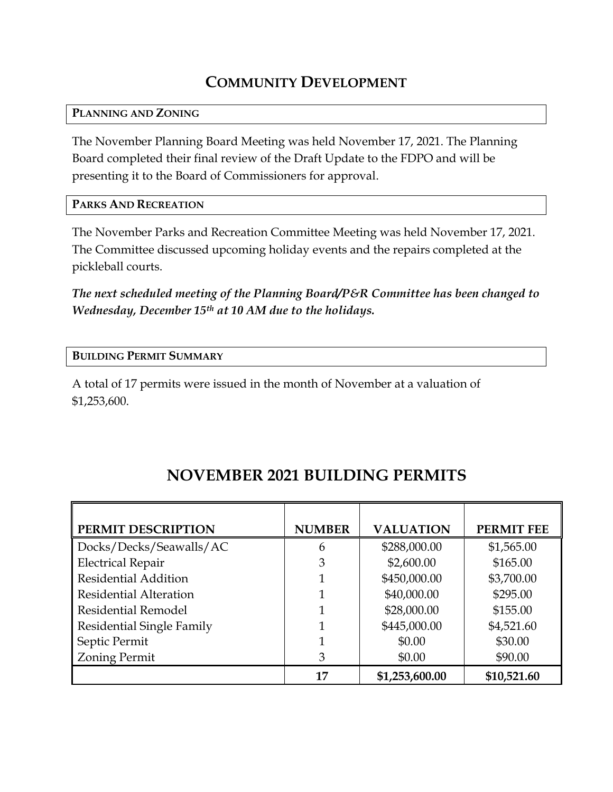# **COMMUNITY DEVELOPMENT**

#### **PLANNING AND ZONING**

The November Planning Board Meeting was held November 17, 2021. The Planning Board completed their final review of the Draft Update to the FDPO and will be presenting it to the Board of Commissioners for approval.

#### **PARKS AND RECREATION**

The November Parks and Recreation Committee Meeting was held November 17, 2021. The Committee discussed upcoming holiday events and the repairs completed at the pickleball courts.

*The next scheduled meeting of the Planning Board/P&R Committee has been changed to Wednesday, December 15th at 10 AM due to the holidays.*

#### **BUILDING PERMIT SUMMARY**

A total of 17 permits were issued in the month of November at a valuation of \$1,253,600.

| PERMIT DESCRIPTION               | <b>NUMBER</b> | <b>VALUATION</b> | <b>PERMIT FEE</b> |
|----------------------------------|---------------|------------------|-------------------|
| Docks/Decks/Seawalls/AC          | 6             | \$288,000.00     | \$1,565.00        |
| <b>Electrical Repair</b>         | 3             | \$2,600.00       | \$165.00          |
| <b>Residential Addition</b>      |               | \$450,000.00     | \$3,700.00        |
| <b>Residential Alteration</b>    |               | \$40,000.00      | \$295.00          |
| <b>Residential Remodel</b>       |               | \$28,000.00      | \$155.00          |
| <b>Residential Single Family</b> |               | \$445,000.00     | \$4,521.60        |
| Septic Permit                    |               | \$0.00           | \$30.00           |
| <b>Zoning Permit</b>             | 3             | \$0.00           | \$90.00           |
|                                  | 17            | \$1,253,600.00   | \$10,521.60       |

# **NOVEMBER 2021 BUILDING PERMITS**